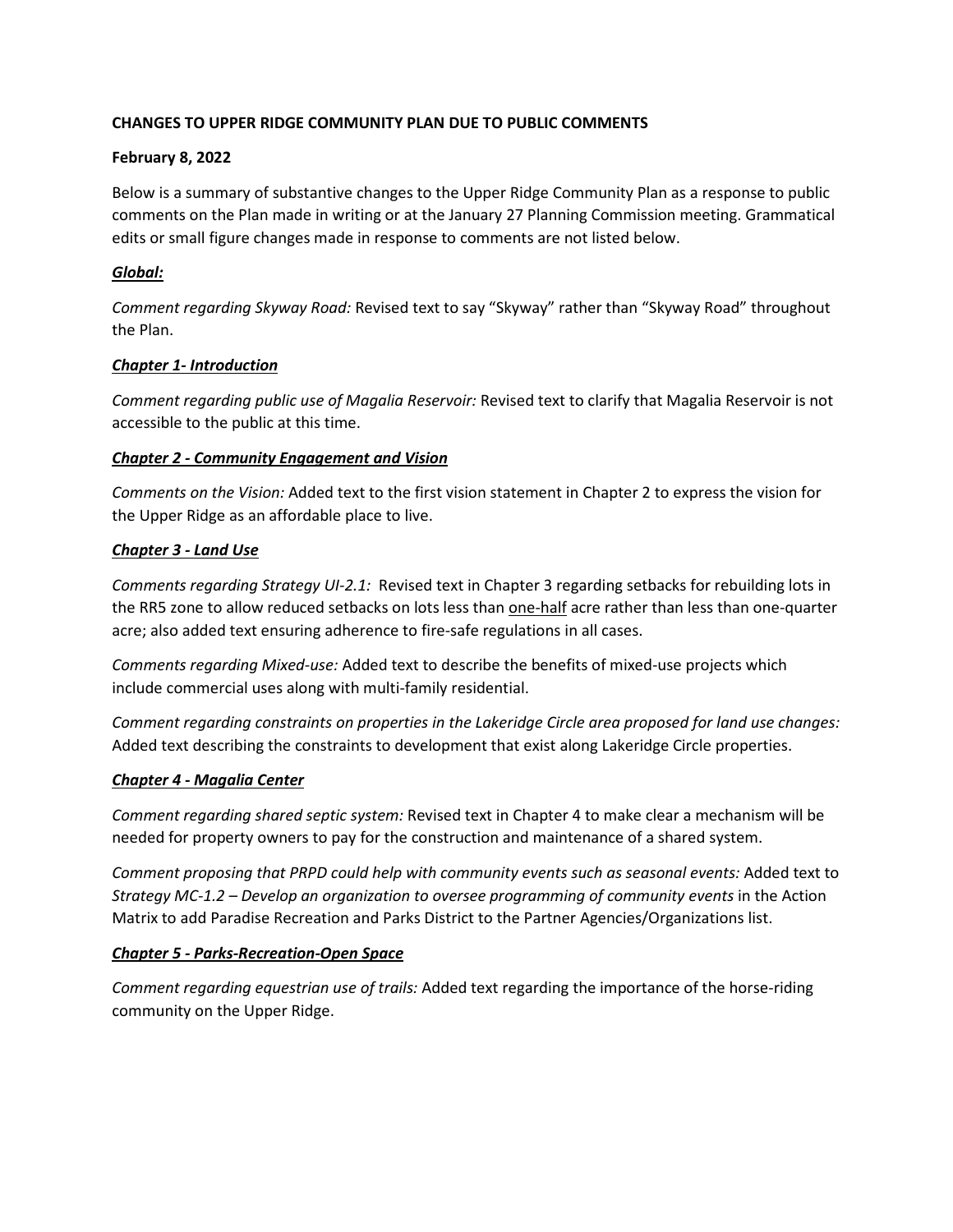# **CHANGES TO UPPER RIDGE COMMUNITY PLAN DUE TO PUBLIC COMMENTS**

### **February 8, 2022**

Below is a summary of substantive changes to the Upper Ridge Community Plan as a response to public comments on the Plan made in writing or at the January 27 Planning Commission meeting. Grammatical edits or small figure changes made in response to comments are not listed below.

# *Global:*

*Comment regarding Skyway Road:* Revised text to say "Skyway" rather than "Skyway Road" throughout the Plan.

## *Chapter 1- Introduction*

*Comment regarding public use of Magalia Reservoir:* Revised text to clarify that Magalia Reservoir is not accessible to the public at this time.

## *Chapter 2 - Community Engagement and Vision*

*Comments on the Vision:* Added text to the first vision statement in Chapter 2 to express the vision for the Upper Ridge as an affordable place to live.

## *Chapter 3 - Land Use*

*Comments regarding Strategy UI-2.1:* Revised text in Chapter 3 regarding setbacks for rebuilding lots in the RR5 zone to allow reduced setbacks on lots less than one-half acre rather than less than one-quarter acre; also added text ensuring adherence to fire-safe regulations in all cases.

*Comments regarding Mixed-use:* Added text to describe the benefits of mixed-use projects which include commercial uses along with multi-family residential.

*Comment regarding constraints on properties in the Lakeridge Circle area proposed for land use changes:* Added text describing the constraints to development that exist along Lakeridge Circle properties.

### *Chapter 4 - Magalia Center*

*Comment regarding shared septic system:* Revised text in Chapter 4 to make clear a mechanism will be needed for property owners to pay for the construction and maintenance of a shared system.

*Comment proposing that PRPD could help with community events such as seasonal events:* Added text to *Strategy MC-1.2 – Develop an organization to oversee programming of community events* in the Action Matrix to add Paradise Recreation and Parks District to the Partner Agencies/Organizations list.

# *Chapter 5 - Parks-Recreation-Open Space*

*Comment regarding equestrian use of trails:* Added text regarding the importance of the horse-riding community on the Upper Ridge.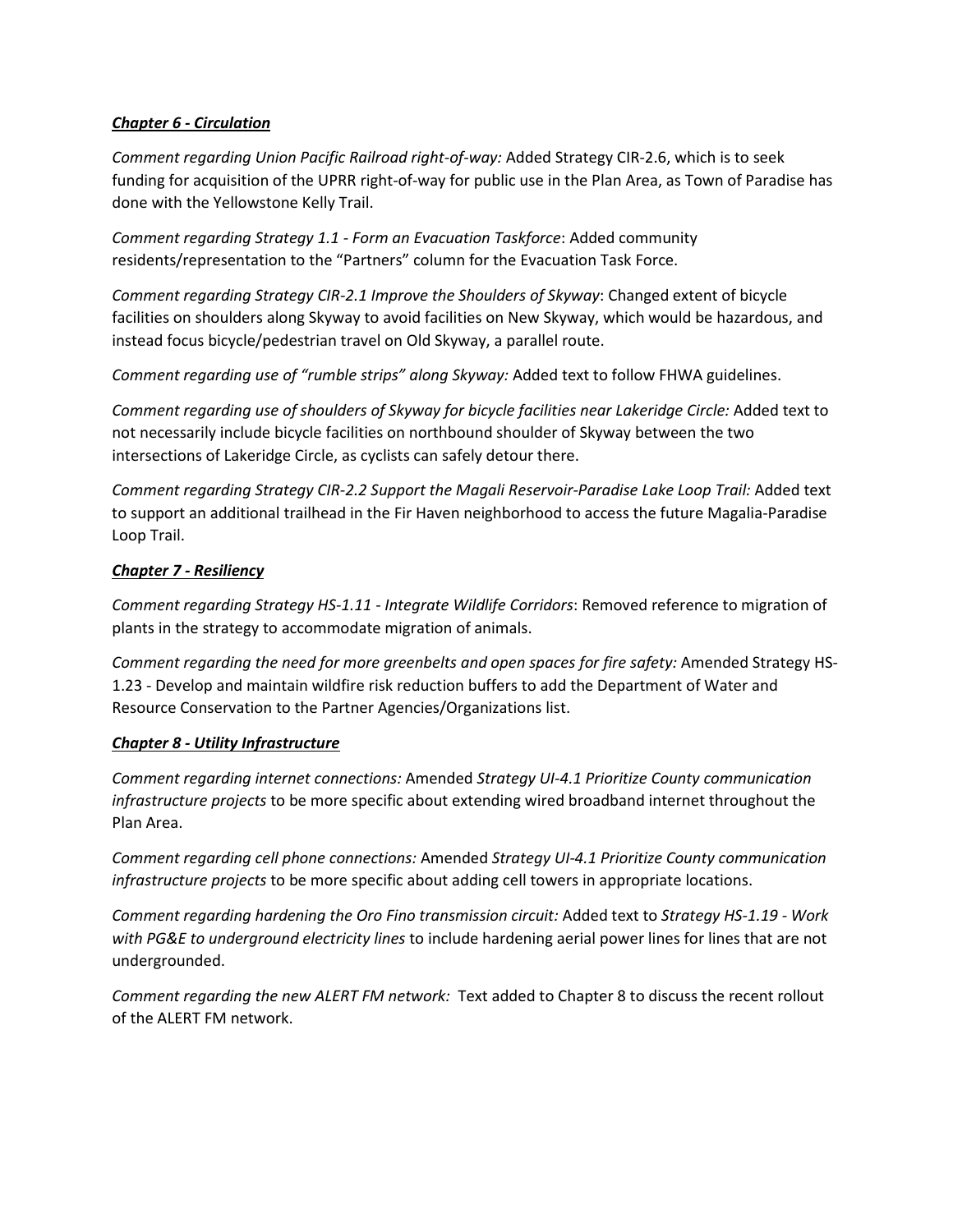### *Chapter 6 - Circulation*

*Comment regarding Union Pacific Railroad right-of-way:* Added Strategy CIR-2.6, which is to seek funding for acquisition of the UPRR right-of-way for public use in the Plan Area, as Town of Paradise has done with the Yellowstone Kelly Trail.

*Comment regarding Strategy 1.1 - Form an Evacuation Taskforce*: Added community residents/representation to the "Partners" column for the Evacuation Task Force.

*Comment regarding Strategy CIR-2.1 Improve the Shoulders of Skyway*: Changed extent of bicycle facilities on shoulders along Skyway to avoid facilities on New Skyway, which would be hazardous, and instead focus bicycle/pedestrian travel on Old Skyway, a parallel route.

*Comment regarding use of "rumble strips" along Skyway:* Added text to follow FHWA guidelines.

*Comment regarding use of shoulders of Skyway for bicycle facilities near Lakeridge Circle:* Added text to not necessarily include bicycle facilities on northbound shoulder of Skyway between the two intersections of Lakeridge Circle, as cyclists can safely detour there.

*Comment regarding Strategy CIR-2.2 Support the Magali Reservoir-Paradise Lake Loop Trail:* Added text to support an additional trailhead in the Fir Haven neighborhood to access the future Magalia-Paradise Loop Trail.

## *Chapter 7 - Resiliency*

*Comment regarding Strategy HS-1.11 - Integrate Wildlife Corridors*: Removed reference to migration of plants in the strategy to accommodate migration of animals.

*Comment regarding the need for more greenbelts and open spaces for fire safety:* Amended Strategy HS-1.23 - Develop and maintain wildfire risk reduction buffers to add the Department of Water and Resource Conservation to the Partner Agencies/Organizations list.

### *Chapter 8 - Utility Infrastructure*

*Comment regarding internet connections:* Amended *Strategy UI-4.1 Prioritize County communication infrastructure projects* to be more specific about extending wired broadband internet throughout the Plan Area.

*Comment regarding cell phone connections:* Amended *Strategy UI-4.1 Prioritize County communication infrastructure projects* to be more specific about adding cell towers in appropriate locations.

*Comment regarding hardening the Oro Fino transmission circuit:* Added text to *Strategy HS-1.19 - Work with PG&E to underground electricity lines* to include hardening aerial power lines for lines that are not undergrounded.

*Comment regarding the new ALERT FM network:* Text added to Chapter 8 to discuss the recent rollout of the ALERT FM network.